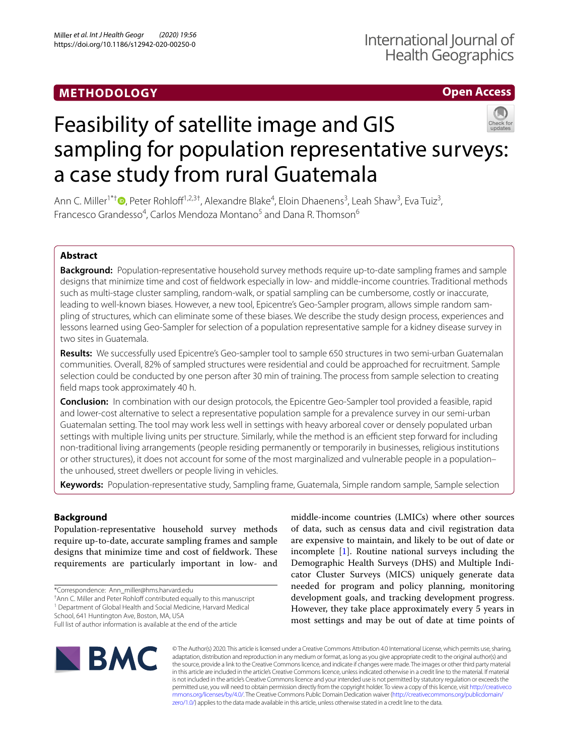# **METHODOLOGY**

# **Open Access**



# Feasibility of satellite image and GIS sampling for population representative surveys: a case study from rural Guatemala

Ann C. Miller<sup>1\*[†](http://orcid.org/0000-0001-6841-9439)</sup> <sup>O</sup>, Peter Rohloff<sup>1,2,3†</sup>, Alexandre Blake<sup>4</sup>, Eloin Dhaenens<sup>3</sup>, Leah Shaw<sup>3</sup>, Eva Tuiz<sup>3</sup>, Francesco Grandesso<sup>4</sup>, Carlos Mendoza Montano<sup>5</sup> and Dana R. Thomson<sup>6</sup>

# **Abstract**

**Background:** Population-representative household survey methods require up-to-date sampling frames and sample designs that minimize time and cost of feldwork especially in low- and middle-income countries. Traditional methods such as multi-stage cluster sampling, random-walk, or spatial sampling can be cumbersome, costly or inaccurate, leading to well-known biases. However, a new tool, Epicentre's Geo-Sampler program, allows simple random sampling of structures, which can eliminate some of these biases. We describe the study design process, experiences and lessons learned using Geo-Sampler for selection of a population representative sample for a kidney disease survey in two sites in Guatemala.

**Results:** We successfully used Epicentre's Geo-sampler tool to sample 650 structures in two semi-urban Guatemalan communities. Overall, 82% of sampled structures were residential and could be approached for recruitment. Sample selection could be conducted by one person after 30 min of training. The process from sample selection to creating feld maps took approximately 40 h.

**Conclusion:** In combination with our design protocols, the Epicentre Geo-Sampler tool provided a feasible, rapid and lower-cost alternative to select a representative population sample for a prevalence survey in our semi-urban Guatemalan setting. The tool may work less well in settings with heavy arboreal cover or densely populated urban settings with multiple living units per structure. Similarly, while the method is an efficient step forward for including non-traditional living arrangements (people residing permanently or temporarily in businesses, religious institutions or other structures), it does not account for some of the most marginalized and vulnerable people in a population– the unhoused, street dwellers or people living in vehicles.

**Keywords:** Population-representative study, Sampling frame, Guatemala, Simple random sample, Sample selection

# **Background**

Population-representative household survey methods require up-to-date, accurate sampling frames and sample designs that minimize time and cost of fieldwork. These requirements are particularly important in low- and

\*Correspondence: Ann\_miller@hms.harvard.edu

<sup>1</sup> Department of Global Health and Social Medicine, Harvard Medical

School, 641 Huntington Ave, Boston, MA, USA

middle-income countries (LMICs) where other sources of data, such as census data and civil registration data are expensive to maintain, and likely to be out of date or incomplete [\[1](#page-9-0)]. Routine national surveys including the Demographic Health Surveys (DHS) and Multiple Indicator Cluster Surveys (MICS) uniquely generate data needed for program and policy planning, monitoring development goals, and tracking development progress. However, they take place approximately every 5 years in most settings and may be out of date at time points of



© The Author(s) 2020. This article is licensed under a Creative Commons Attribution 4.0 International License, which permits use, sharing, adaptation, distribution and reproduction in any medium or format, as long as you give appropriate credit to the original author(s) and the source, provide a link to the Creative Commons licence, and indicate if changes were made. The images or other third party material in this article are included in the article's Creative Commons licence, unless indicated otherwise in a credit line to the material. If material is not included in the article's Creative Commons licence and your intended use is not permitted by statutory regulation or exceeds the permitted use, you will need to obtain permission directly from the copyright holder. To view a copy of this licence, visit [http://creativeco](http://creativecommons.org/licenses/by/4.0/) [mmons.org/licenses/by/4.0/.](http://creativecommons.org/licenses/by/4.0/) The Creative Commons Public Domain Dedication waiver ([http://creativecommons.org/publicdomain/](http://creativecommons.org/publicdomain/zero/1.0/) [zero/1.0/\)](http://creativecommons.org/publicdomain/zero/1.0/) applies to the data made available in this article, unless otherwise stated in a credit line to the data.

<sup>&</sup>lt;sup>†</sup> Ann C. Miller and Peter Rohloff contributed equally to this manuscript

Full list of author information is available at the end of the article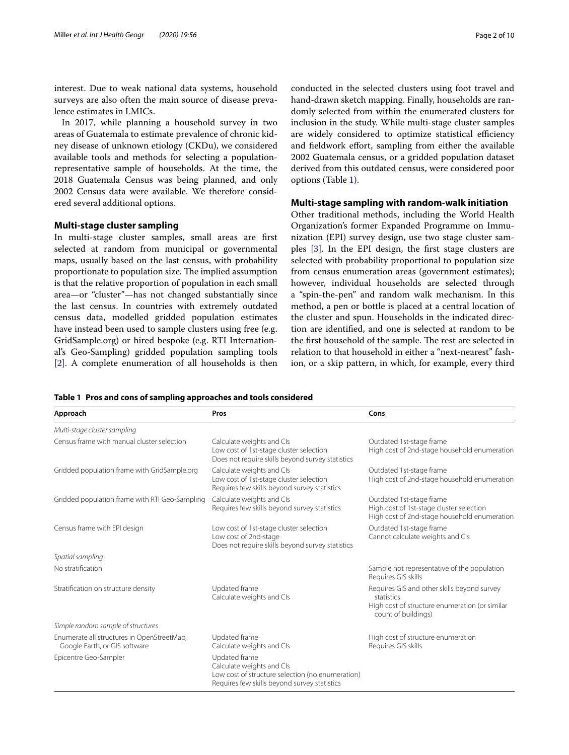interest. Due to weak national data systems, household surveys are also often the main source of disease prevalence estimates in LMICs.

In 2017, while planning a household survey in two areas of Guatemala to estimate prevalence of chronic kidney disease of unknown etiology (CKDu), we considered available tools and methods for selecting a populationrepresentative sample of households. At the time, the 2018 Guatemala Census was being planned, and only 2002 Census data were available. We therefore considered several additional options.

#### **Multi‑stage cluster sampling**

In multi-stage cluster samples, small areas are frst selected at random from municipal or governmental maps, usually based on the last census, with probability proportionate to population size. The implied assumption is that the relative proportion of population in each small area—or "cluster"—has not changed substantially since the last census. In countries with extremely outdated census data, modelled gridded population estimates have instead been used to sample clusters using free (e.g. GridSample.org) or hired bespoke (e.g. RTI International's Geo-Sampling) gridded population sampling tools [[2\]](#page-9-1). A complete enumeration of all households is then conducted in the selected clusters using foot travel and hand-drawn sketch mapping. Finally, households are randomly selected from within the enumerated clusters for inclusion in the study. While multi-stage cluster samples are widely considered to optimize statistical efficiency and fieldwork effort, sampling from either the available 2002 Guatemala census, or a gridded population dataset derived from this outdated census, were considered poor options (Table [1\)](#page-1-0).

#### **Multi‑stage sampling with random‑walk initiation**

Other traditional methods, including the World Health Organization's former Expanded Programme on Immunization (EPI) survey design, use two stage cluster samples [[3\]](#page-9-2). In the EPI design, the frst stage clusters are selected with probability proportional to population size from census enumeration areas (government estimates); however, individual households are selected through a "spin-the-pen" and random walk mechanism. In this method, a pen or bottle is placed at a central location of the cluster and spun. Households in the indicated direction are identifed, and one is selected at random to be the first household of the sample. The rest are selected in relation to that household in either a "next-nearest" fashion, or a skip pattern, in which, for example, every third

<span id="page-1-0"></span>

| Table 1 Pros and cons of sampling approaches and tools considered |  |  |  |  |  |
|-------------------------------------------------------------------|--|--|--|--|--|
|-------------------------------------------------------------------|--|--|--|--|--|

| Approach                                                                    | Pros                                                                                                                                           | Cons                                                                                                                               |
|-----------------------------------------------------------------------------|------------------------------------------------------------------------------------------------------------------------------------------------|------------------------------------------------------------------------------------------------------------------------------------|
| Multi-stage cluster sampling                                                |                                                                                                                                                |                                                                                                                                    |
| Census frame with manual cluster selection                                  | Calculate weights and Cls<br>Low cost of 1st-stage cluster selection<br>Does not require skills beyond survey statistics                       | Outdated 1st-stage frame<br>High cost of 2nd-stage household enumeration                                                           |
| Gridded population frame with GridSample.org                                | Calculate weights and Cls<br>Low cost of 1st-stage cluster selection<br>Requires few skills beyond survey statistics                           | Outdated 1st-stage frame<br>High cost of 2nd-stage household enumeration                                                           |
| Gridded population frame with RTI Geo-Sampling                              | Calculate weights and Cls<br>Requires few skills beyond survey statistics                                                                      | Outdated 1st-stage frame<br>High cost of 1st-stage cluster selection<br>High cost of 2nd-stage household enumeration               |
| Census frame with EPI design                                                | Low cost of 1st-stage cluster selection<br>Low cost of 2nd-stage<br>Does not require skills beyond survey statistics                           | Outdated 1st-stage frame<br>Cannot calculate weights and CIs                                                                       |
| Spatial sampling                                                            |                                                                                                                                                |                                                                                                                                    |
| No stratification                                                           |                                                                                                                                                | Sample not representative of the population<br>Requires GIS skills                                                                 |
| Stratification on structure density                                         | Updated frame<br>Calculate weights and Cls                                                                                                     | Requires GIS and other skills beyond survey<br>statistics<br>High cost of structure enumeration (or similar<br>count of buildings) |
| Simple random sample of structures                                          |                                                                                                                                                |                                                                                                                                    |
| Enumerate all structures in OpenStreetMap,<br>Google Earth, or GIS software | Updated frame<br>Calculate weights and CIs                                                                                                     | High cost of structure enumeration<br>Requires GIS skills                                                                          |
| Epicentre Geo-Sampler                                                       | Updated frame<br>Calculate weights and Cls<br>Low cost of structure selection (no enumeration)<br>Requires few skills beyond survey statistics |                                                                                                                                    |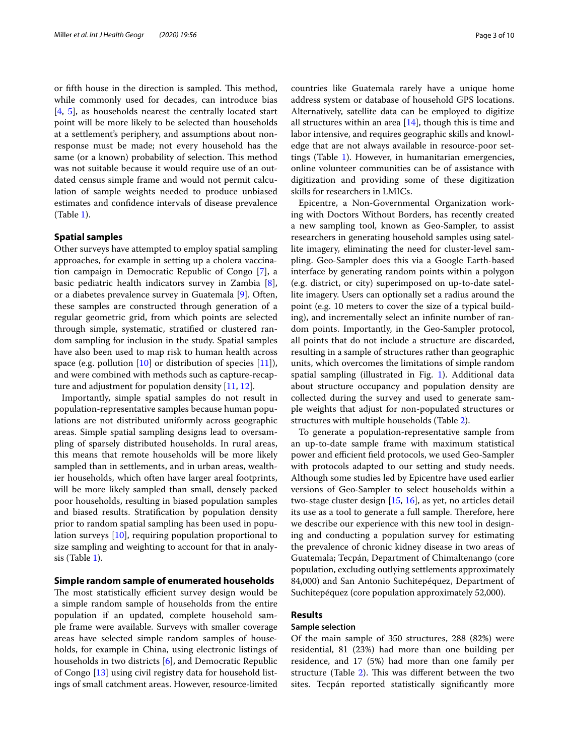or fifth house in the direction is sampled. This method, while commonly used for decades, can introduce bias [[4,](#page-9-3) [5\]](#page-9-4), as households nearest the centrally located start point will be more likely to be selected than households at a settlement's periphery, and assumptions about nonresponse must be made; not every household has the same (or a known) probability of selection. This method was not suitable because it would require use of an outdated census simple frame and would not permit calculation of sample weights needed to produce unbiased estimates and confdence intervals of disease prevalence (Table [1](#page-1-0)).

#### **Spatial samples**

Other surveys have attempted to employ spatial sampling approaches, for example in setting up a cholera vaccination campaign in Democratic Republic of Congo [[7\]](#page-9-5), a basic pediatric health indicators survey in Zambia [\[8](#page-9-6)], or a diabetes prevalence survey in Guatemala [\[9](#page-9-7)]. Often, these samples are constructed through generation of a regular geometric grid, from which points are selected through simple, systematic, stratifed or clustered random sampling for inclusion in the study. Spatial samples have also been used to map risk to human health across space (e.g. pollution  $[10]$  $[10]$  or distribution of species  $[11]$ ), and were combined with methods such as capture-recapture and adjustment for population density [\[11](#page-9-9), [12](#page-9-10)].

Importantly, simple spatial samples do not result in population-representative samples because human populations are not distributed uniformly across geographic areas. Simple spatial sampling designs lead to oversampling of sparsely distributed households. In rural areas, this means that remote households will be more likely sampled than in settlements, and in urban areas, wealthier households, which often have larger areal footprints, will be more likely sampled than small, densely packed poor households, resulting in biased population samples and biased results. Stratifcation by population density prior to random spatial sampling has been used in population surveys [\[10\]](#page-9-8), requiring population proportional to size sampling and weighting to account for that in analysis (Table [1](#page-1-0)).

#### **Simple random sample of enumerated households**

The most statistically efficient survey design would be a simple random sample of households from the entire population if an updated, complete household sample frame were available. Surveys with smaller coverage areas have selected simple random samples of households, for example in China, using electronic listings of households in two districts [\[6](#page-9-11)], and Democratic Republic of Congo [[13](#page-9-12)] using civil registry data for household listings of small catchment areas. However, resource-limited countries like Guatemala rarely have a unique home address system or database of household GPS locations. Alternatively, satellite data can be employed to digitize all structures within an area [\[14](#page-9-13)], though this is time and labor intensive, and requires geographic skills and knowledge that are not always available in resource-poor settings (Table [1\)](#page-1-0). However, in humanitarian emergencies, online volunteer communities can be of assistance with digitization and providing some of these digitization skills for researchers in LMICs.

Epicentre, a Non-Governmental Organization working with Doctors Without Borders, has recently created a new sampling tool, known as Geo-Sampler, to assist researchers in generating household samples using satellite imagery, eliminating the need for cluster-level sampling. Geo-Sampler does this via a Google Earth-based interface by generating random points within a polygon (e.g. district, or city) superimposed on up-to-date satellite imagery. Users can optionally set a radius around the point (e.g. 10 meters to cover the size of a typical building), and incrementally select an infnite number of random points. Importantly, in the Geo-Sampler protocol, all points that do not include a structure are discarded, resulting in a sample of structures rather than geographic units, which overcomes the limitations of simple random spatial sampling (illustrated in Fig. [1](#page-3-0)). Additional data about structure occupancy and population density are collected during the survey and used to generate sample weights that adjust for non-populated structures or structures with multiple households (Table [2\)](#page-3-1).

To generate a population-representative sample from an up-to-date sample frame with maximum statistical power and efficient field protocols, we used Geo-Sampler with protocols adapted to our setting and study needs. Although some studies led by Epicentre have used earlier versions of Geo-Sampler to select households within a two-stage cluster design [[15](#page-9-14), [16](#page-9-15)], as yet, no articles detail its use as a tool to generate a full sample. Therefore, here we describe our experience with this new tool in designing and conducting a population survey for estimating the prevalence of chronic kidney disease in two areas of Guatemala; Tecpán, Department of Chimaltenango (core population, excluding outlying settlements approximately 84,000) and San Antonio Suchitepéquez, Department of Suchitepéquez (core population approximately 52,000).

## **Results**

#### **Sample selection**

Of the main sample of 350 structures, 288 (82%) were residential, 81 (23%) had more than one building per residence, and 17 (5%) had more than one family per structure (Table  $2$ ). This was different between the two sites. Tecpán reported statistically signifcantly more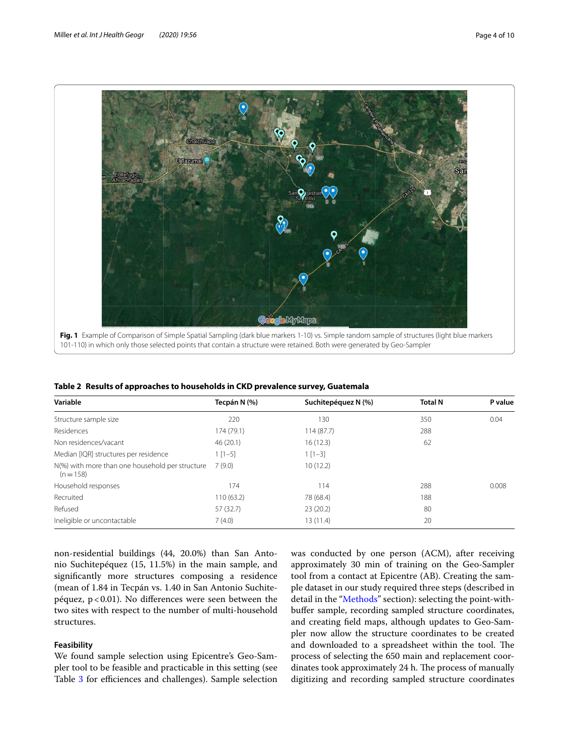

<span id="page-3-1"></span><span id="page-3-0"></span>

| Table 2 Results of approaches to households in CKD prevalence survey, Guatemala |  |  |  |
|---------------------------------------------------------------------------------|--|--|--|
|                                                                                 |  |  |  |

| Variable                                                       | Tecpán N (%) | Suchitepéquez N (%) | <b>Total N</b> | P value |
|----------------------------------------------------------------|--------------|---------------------|----------------|---------|
| Structure sample size                                          | 220          | 130                 | 350            | 0.04    |
| Residences                                                     | 174 (79.1)   | 114(87.7)           | 288            |         |
| Non residences/vacant                                          | 46(20.1)     | 16(12.3)            | 62             |         |
| Median [IQR] structures per residence                          | $1 [1 - 5]$  | $1 [1 - 3]$         |                |         |
| N(%) with more than one household per structure<br>$(n = 158)$ | 7(9.0)       | 10(12.2)            |                |         |
| Household responses                                            | 174          | 114                 | 288            | 0.008   |
| Recruited                                                      | 110(63.2)    | 78 (68.4)           | 188            |         |
| Refused                                                        | 57 (32.7)    | 23(20.2)            | 80             |         |
| Ineligible or uncontactable                                    | 7(4.0)       | 13(11.4)            | 20             |         |

non-residential buildings (44, 20.0%) than San Antonio Suchitepéquez (15, 11.5%) in the main sample, and signifcantly more structures composing a residence (mean of 1.84 in Tecpán vs. 1.40 in San Antonio Suchitepéquez, p<0.01). No diferences were seen between the two sites with respect to the number of multi-household structures.

#### **Feasibility**

We found sample selection using Epicentre's Geo-Sampler tool to be feasible and practicable in this setting (see Table [3](#page-4-0) for efficiences and challenges). Sample selection was conducted by one person (ACM), after receiving approximately 30 min of training on the Geo-Sampler tool from a contact at Epicentre (AB). Creating the sample dataset in our study required three steps (described in detail in the "[Methods](#page-6-0)" section): selecting the point-withbufer sample, recording sampled structure coordinates, and creating feld maps, although updates to Geo-Sampler now allow the structure coordinates to be created and downloaded to a spreadsheet within the tool. The process of selecting the 650 main and replacement coordinates took approximately 24 h. The process of manually digitizing and recording sampled structure coordinates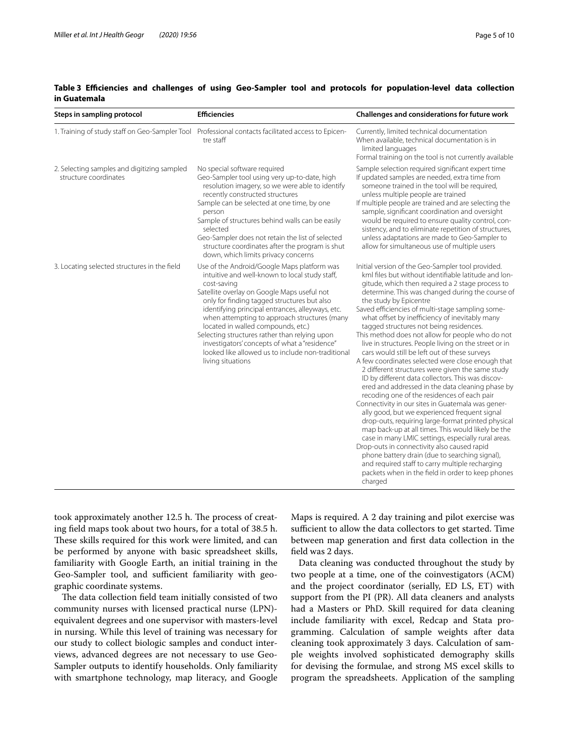## <span id="page-4-0"></span>**Table 3 Efciencies and challenges of using Geo-Sampler tool and protocols for population-level data collection in Guatemala**

| Steps in sampling protocol                                           | <b>Efficiencies</b>                                                                                                                                                                                                                                                                                                                                                                                                                                                                                                              | Challenges and considerations for future work                                                                                                                                                                                                                                                                                                                                                                                                                                                                                                                                                                                                                                                                                                                                                                                                                                                                                                                                                                                                                                                                                                                                                                                                                                                                            |
|----------------------------------------------------------------------|----------------------------------------------------------------------------------------------------------------------------------------------------------------------------------------------------------------------------------------------------------------------------------------------------------------------------------------------------------------------------------------------------------------------------------------------------------------------------------------------------------------------------------|--------------------------------------------------------------------------------------------------------------------------------------------------------------------------------------------------------------------------------------------------------------------------------------------------------------------------------------------------------------------------------------------------------------------------------------------------------------------------------------------------------------------------------------------------------------------------------------------------------------------------------------------------------------------------------------------------------------------------------------------------------------------------------------------------------------------------------------------------------------------------------------------------------------------------------------------------------------------------------------------------------------------------------------------------------------------------------------------------------------------------------------------------------------------------------------------------------------------------------------------------------------------------------------------------------------------------|
|                                                                      | 1. Training of study staff on Geo-Sampler Tool Professional contacts facilitated access to Epicen-<br>tre staff                                                                                                                                                                                                                                                                                                                                                                                                                  | Currently, limited technical documentation<br>When available, technical documentation is in<br>limited languages<br>Formal training on the tool is not currently available                                                                                                                                                                                                                                                                                                                                                                                                                                                                                                                                                                                                                                                                                                                                                                                                                                                                                                                                                                                                                                                                                                                                               |
| 2. Selecting samples and digitizing sampled<br>structure coordinates | No special software required<br>Geo-Sampler tool using very up-to-date, high<br>resolution imagery, so we were able to identify<br>recently constructed structures<br>Sample can be selected at one time, by one<br>person<br>Sample of structures behind walls can be easily<br>selected<br>Geo-Sampler does not retain the list of selected<br>structure coordinates after the program is shut<br>down, which limits privacy concerns                                                                                          | Sample selection required significant expert time<br>If updated samples are needed, extra time from<br>someone trained in the tool will be required,<br>unless multiple people are trained<br>If multiple people are trained and are selecting the<br>sample, significant coordination and oversight<br>would be required to ensure quality control, con-<br>sistency, and to eliminate repetition of structures,<br>unless adaptations are made to Geo-Sampler to<br>allow for simultaneous use of multiple users                                                                                                                                                                                                                                                                                                                                                                                                                                                                                                                                                                                                                                                                                                                                                                                                       |
| 3. Locating selected structures in the field                         | Use of the Android/Google Maps platform was<br>intuitive and well-known to local study staff,<br>cost-saving<br>Satellite overlay on Google Maps useful not<br>only for finding tagged structures but also<br>identifying principal entrances, alleyways, etc.<br>when attempting to approach structures (many<br>located in walled compounds, etc.)<br>Selecting structures rather than relying upon<br>investigators' concepts of what a "residence"<br>looked like allowed us to include non-traditional<br>living situations | Initial version of the Geo-Sampler tool provided.<br>kml files but without identifiable latitude and lon-<br>gitude, which then required a 2 stage process to<br>determine. This was changed during the course of<br>the study by Epicentre<br>Saved efficiencies of multi-stage sampling some-<br>what offset by inefficiency of inevitably many<br>tagged structures not being residences.<br>This method does not allow for people who do not<br>live in structures. People living on the street or in<br>cars would still be left out of these surveys<br>A few coordinates selected were close enough that<br>2 different structures were given the same study<br>ID by different data collectors. This was discov-<br>ered and addressed in the data cleaning phase by<br>recoding one of the residences of each pair<br>Connectivity in our sites in Guatemala was gener-<br>ally good, but we experienced frequent signal<br>drop-outs, requiring large-format printed physical<br>map back-up at all times. This would likely be the<br>case in many LMIC settings, especially rural areas.<br>Drop-outs in connectivity also caused rapid<br>phone battery drain (due to searching signal),<br>and required staff to carry multiple recharging<br>packets when in the field in order to keep phones<br>charged |

took approximately another 12.5 h. The process of creating feld maps took about two hours, for a total of 38.5 h. These skills required for this work were limited, and can be performed by anyone with basic spreadsheet skills, familiarity with Google Earth, an initial training in the Geo-Sampler tool, and sufficient familiarity with geographic coordinate systems.

The data collection field team initially consisted of two community nurses with licensed practical nurse (LPN) equivalent degrees and one supervisor with masters-level in nursing. While this level of training was necessary for our study to collect biologic samples and conduct interviews, advanced degrees are not necessary to use Geo-Sampler outputs to identify households. Only familiarity with smartphone technology, map literacy, and Google Maps is required. A 2 day training and pilot exercise was sufficient to allow the data collectors to get started. Time between map generation and frst data collection in the feld was 2 days.

Data cleaning was conducted throughout the study by two people at a time, one of the coinvestigators (ACM) and the project coordinator (serially, ED LS, ET) with support from the PI (PR). All data cleaners and analysts had a Masters or PhD. Skill required for data cleaning include familiarity with excel, Redcap and Stata programming. Calculation of sample weights after data cleaning took approximately 3 days. Calculation of sample weights involved sophisticated demography skills for devising the formulae, and strong MS excel skills to program the spreadsheets. Application of the sampling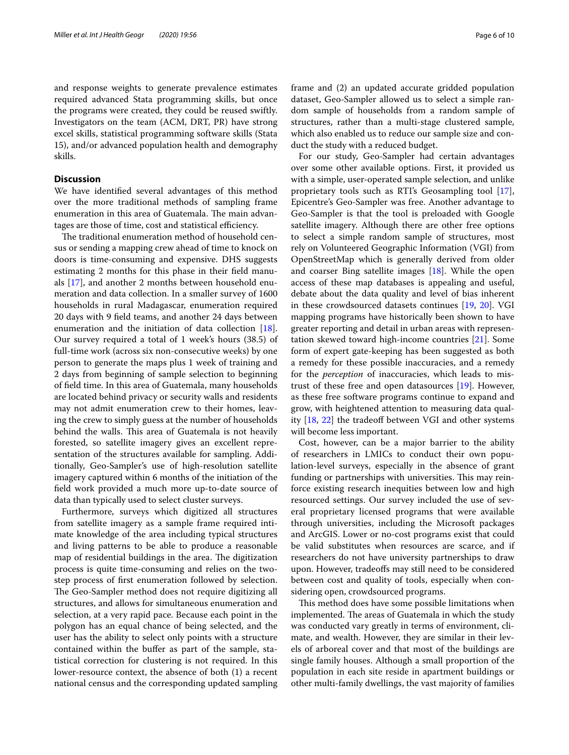and response weights to generate prevalence estimates required advanced Stata programming skills, but once the programs were created, they could be reused swiftly. Investigators on the team (ACM, DRT, PR) have strong excel skills, statistical programming software skills (Stata 15), and/or advanced population health and demography skills.

#### **Discussion**

We have identifed several advantages of this method over the more traditional methods of sampling frame enumeration in this area of Guatemala. The main advantages are those of time, cost and statistical efficiency.

The traditional enumeration method of household census or sending a mapping crew ahead of time to knock on doors is time-consuming and expensive. DHS suggests estimating 2 months for this phase in their feld manuals [[17\]](#page-9-16), and another 2 months between household enumeration and data collection. In a smaller survey of 1600 households in rural Madagascar, enumeration required 20 days with 9 feld teams, and another 24 days between enumeration and the initiation of data collection [\[18](#page-9-17)]. Our survey required a total of 1 week's hours (38.5) of full-time work (across six non-consecutive weeks) by one person to generate the maps plus 1 week of training and 2 days from beginning of sample selection to beginning of feld time. In this area of Guatemala, many households are located behind privacy or security walls and residents may not admit enumeration crew to their homes, leaving the crew to simply guess at the number of households behind the walls. This area of Guatemala is not heavily forested, so satellite imagery gives an excellent representation of the structures available for sampling. Additionally, Geo-Sampler's use of high-resolution satellite imagery captured within 6 months of the initiation of the feld work provided a much more up-to-date source of data than typically used to select cluster surveys.

Furthermore, surveys which digitized all structures from satellite imagery as a sample frame required intimate knowledge of the area including typical structures and living patterns to be able to produce a reasonable map of residential buildings in the area. The digitization process is quite time-consuming and relies on the twostep process of frst enumeration followed by selection. The Geo-Sampler method does not require digitizing all structures, and allows for simultaneous enumeration and selection, at a very rapid pace. Because each point in the polygon has an equal chance of being selected, and the user has the ability to select only points with a structure contained within the buffer as part of the sample, statistical correction for clustering is not required. In this lower-resource context, the absence of both (1) a recent national census and the corresponding updated sampling frame and (2) an updated accurate gridded population dataset, Geo-Sampler allowed us to select a simple random sample of households from a random sample of structures, rather than a multi-stage clustered sample, which also enabled us to reduce our sample size and conduct the study with a reduced budget.

For our study, Geo-Sampler had certain advantages over some other available options. First, it provided us with a simple, user-operated sample selection, and unlike proprietary tools such as RTI's Geosampling tool [\[17](#page-9-16)], Epicentre's Geo-Sampler was free. Another advantage to Geo-Sampler is that the tool is preloaded with Google satellite imagery. Although there are other free options to select a simple random sample of structures, most rely on Volunteered Geographic Information (VGI) from OpenStreetMap which is generally derived from older and coarser Bing satellite images [\[18\]](#page-9-17). While the open access of these map databases is appealing and useful, debate about the data quality and level of bias inherent in these crowdsourced datasets continues [[19](#page-9-18), [20](#page-9-19)]. VGI mapping programs have historically been shown to have greater reporting and detail in urban areas with representation skewed toward high-income countries [\[21\]](#page-9-20). Some form of expert gate-keeping has been suggested as both a remedy for these possible inaccuracies, and a remedy for the *perception* of inaccuracies, which leads to mistrust of these free and open datasources [\[19](#page-9-18)]. However, as these free software programs continue to expand and grow, with heightened attention to measuring data quality  $[18, 22]$  $[18, 22]$  $[18, 22]$  $[18, 22]$  the tradeoff between VGI and other systems will become less important.

Cost, however, can be a major barrier to the ability of researchers in LMICs to conduct their own population-level surveys, especially in the absence of grant funding or partnerships with universities. This may reinforce existing research inequities between low and high resourced settings. Our survey included the use of several proprietary licensed programs that were available through universities, including the Microsoft packages and ArcGIS. Lower or no-cost programs exist that could be valid substitutes when resources are scarce, and if researchers do not have university partnerships to draw upon. However, tradeofs may still need to be considered between cost and quality of tools, especially when considering open, crowdsourced programs.

This method does have some possible limitations when implemented. The areas of Guatemala in which the study was conducted vary greatly in terms of environment, climate, and wealth. However, they are similar in their levels of arboreal cover and that most of the buildings are single family houses. Although a small proportion of the population in each site reside in apartment buildings or other multi-family dwellings, the vast majority of families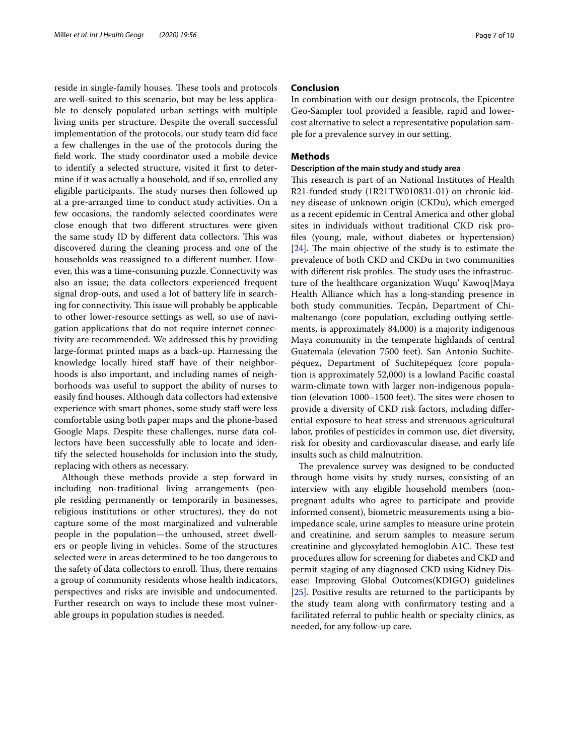reside in single-family houses. These tools and protocols are well-suited to this scenario, but may be less applicable to densely populated urban settings with multiple living units per structure. Despite the overall successful implementation of the protocols, our study team did face a few challenges in the use of the protocols during the field work. The study coordinator used a mobile device to identify a selected structure, visited it frst to determine if it was actually a household, and if so, enrolled any eligible participants. The study nurses then followed up at a pre-arranged time to conduct study activities. On a few occasions, the randomly selected coordinates were close enough that two diferent structures were given the same study ID by different data collectors. This was discovered during the cleaning process and one of the households was reassigned to a diferent number. However, this was a time-consuming puzzle. Connectivity was also an issue; the data collectors experienced frequent signal drop-outs, and used a lot of battery life in searching for connectivity. This issue will probably be applicable to other lower-resource settings as well, so use of navigation applications that do not require internet connectivity are recommended. We addressed this by providing large-format printed maps as a back-up. Harnessing the knowledge locally hired staff have of their neighborhoods is also important, and including names of neighborhoods was useful to support the ability of nurses to easily fnd houses. Although data collectors had extensive experience with smart phones, some study staff were less comfortable using both paper maps and the phone-based Google Maps. Despite these challenges, nurse data collectors have been successfully able to locate and identify the selected households for inclusion into the study, replacing with others as necessary.

Although these methods provide a step forward in including non-traditional living arrangements (people residing permanently or temporarily in businesses, religious institutions or other structures), they do not capture some of the most marginalized and vulnerable people in the population—the unhoused, street dwellers or people living in vehicles. Some of the structures selected were in areas determined to be too dangerous to the safety of data collectors to enroll. Thus, there remains a group of community residents whose health indicators, perspectives and risks are invisible and undocumented. Further research on ways to include these most vulnerable groups in population studies is needed.

#### **Conclusion**

In combination with our design protocols, the Epicentre Geo-Sampler tool provided a feasible, rapid and lowercost alternative to select a representative population sample for a prevalence survey in our setting.

#### <span id="page-6-0"></span>**Methods**

#### **Description of the main study and study area**

This research is part of an National Institutes of Health R21-funded study (1R21TW010831-01) on chronic kidney disease of unknown origin (CKDu), which emerged as a recent epidemic in Central America and other global sites in individuals without traditional CKD risk profles (young, male, without diabetes or hypertension)  $[24]$  $[24]$ . The main objective of the study is to estimate the prevalence of both CKD and CKDu in two communities with different risk profiles. The study uses the infrastructure of the healthcare organization Wuqu' Kawoq|Maya Health Alliance which has a long-standing presence in both study communities. Tecpán, Department of Chimaltenango (core population, excluding outlying settlements, is approximately 84,000) is a majority indigenous Maya community in the temperate highlands of central Guatemala (elevation 7500 feet). San Antonio Suchitepéquez, Department of Suchitepéquez (core population is approximately 52,000) is a lowland Pacifc coastal warm-climate town with larger non-indigenous population (elevation 1000–1500 feet). The sites were chosen to provide a diversity of CKD risk factors, including diferential exposure to heat stress and strenuous agricultural labor, profles of pesticides in common use, diet diversity, risk for obesity and cardiovascular disease, and early life insults such as child malnutrition.

The prevalence survey was designed to be conducted through home visits by study nurses, consisting of an interview with any eligible household members (nonpregnant adults who agree to participate and provide informed consent), biometric measurements using a bioimpedance scale, urine samples to measure urine protein and creatinine, and serum samples to measure serum creatinine and glycosylated hemoglobin A1C. These test procedures allow for screening for diabetes and CKD and permit staging of any diagnosed CKD using Kidney Disease: Improving Global Outcomes(KDIGO) guidelines [[25\]](#page-9-23). Positive results are returned to the participants by the study team along with confrmatory testing and a facilitated referral to public health or specialty clinics, as needed, for any follow-up care.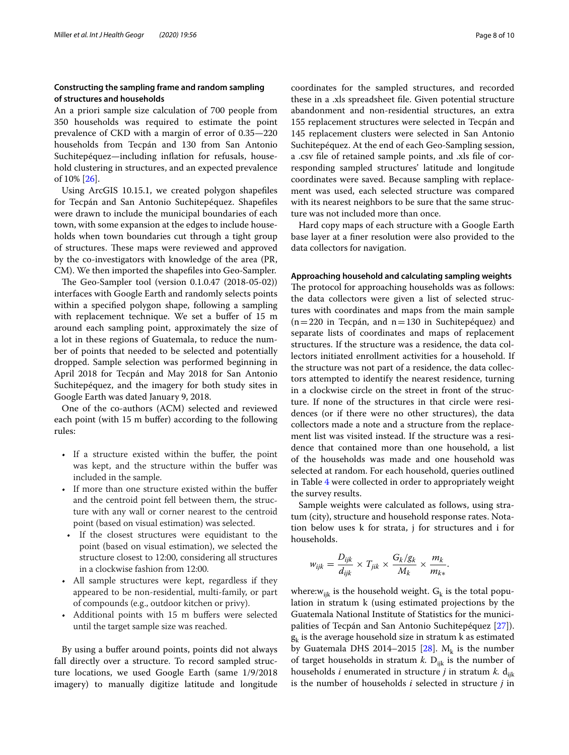#### **Constructing the sampling frame and random sampling of structures and households**

An a priori sample size calculation of 700 people from 350 households was required to estimate the point prevalence of CKD with a margin of error of 0.35—220 households from Tecpán and 130 from San Antonio Suchitepéquez—including infation for refusals, household clustering in structures, and an expected prevalence of 10% [\[26](#page-9-24)].

Using ArcGIS 10.15.1, we created polygon shapefles for Tecpán and San Antonio Suchitepéquez. Shapefles were drawn to include the municipal boundaries of each town, with some expansion at the edges to include households when town boundaries cut through a tight group of structures. These maps were reviewed and approved by the co-investigators with knowledge of the area (PR, CM). We then imported the shapefles into Geo-Sampler.

The Geo-Sampler tool (version 0.1.0.47 (2018-05-02)) interfaces with Google Earth and randomly selects points within a specifed polygon shape, following a sampling with replacement technique. We set a buffer of 15 m around each sampling point, approximately the size of a lot in these regions of Guatemala, to reduce the number of points that needed to be selected and potentially dropped. Sample selection was performed beginning in April 2018 for Tecpán and May 2018 for San Antonio Suchitepéquez, and the imagery for both study sites in Google Earth was dated January 9, 2018.

One of the co-authors (ACM) selected and reviewed each point (with 15 m buffer) according to the following rules:

- If a structure existed within the buffer, the point was kept, and the structure within the buffer was included in the sample.
- If more than one structure existed within the bufer and the centroid point fell between them, the structure with any wall or corner nearest to the centroid point (based on visual estimation) was selected.
- If the closest structures were equidistant to the point (based on visual estimation), we selected the structure closest to 12:00, considering all structures in a clockwise fashion from 12:00.
- All sample structures were kept, regardless if they appeared to be non-residential, multi-family, or part of compounds (e.g., outdoor kitchen or privy).
- Additional points with 15 m buffers were selected until the target sample size was reached.

By using a bufer around points, points did not always fall directly over a structure. To record sampled structure locations, we used Google Earth (same 1/9/2018 imagery) to manually digitize latitude and longitude coordinates for the sampled structures, and recorded these in a .xls spreadsheet fle. Given potential structure abandonment and non-residential structures, an extra 155 replacement structures were selected in Tecpán and 145 replacement clusters were selected in San Antonio Suchitepéquez. At the end of each Geo-Sampling session, a .csv fle of retained sample points, and .xls fle of corresponding sampled structures' latitude and longitude coordinates were saved. Because sampling with replacement was used, each selected structure was compared with its nearest neighbors to be sure that the same structure was not included more than once.

Hard copy maps of each structure with a Google Earth base layer at a fner resolution were also provided to the data collectors for navigation.

#### **Approaching household and calculating sampling weights**

The protocol for approaching households was as follows: the data collectors were given a list of selected structures with coordinates and maps from the main sample  $(n=220$  in Tecpán, and  $n=130$  in Suchitepéquez) and separate lists of coordinates and maps of replacement structures. If the structure was a residence, the data collectors initiated enrollment activities for a household. If the structure was not part of a residence, the data collectors attempted to identify the nearest residence, turning in a clockwise circle on the street in front of the structure. If none of the structures in that circle were residences (or if there were no other structures), the data collectors made a note and a structure from the replacement list was visited instead. If the structure was a residence that contained more than one household, a list of the households was made and one household was selected at random. For each household, queries outlined in Table [4](#page-8-0) were collected in order to appropriately weight the survey results.

Sample weights were calculated as follows, using stratum (city), structure and household response rates. Notation below uses k for strata, j for structures and i for households.

.

$$
w_{ijk} = \frac{D_{ijk}}{d_{ijk}} \times T_{jik} \times \frac{G_k/g_k}{M_k} \times \frac{m_k}{m_{k*}}
$$

where: $w_{ijk}$  is the household weight.  $G_k$  is the total population in stratum k (using estimated projections by the Guatemala National Institute of Statistics for the municipalities of Tecpán and San Antonio Suchitepéquez [\[27\]](#page-9-25)).  $g_k$  is the average household size in stratum k as estimated by Guatemala DHS 2014–2015 [[28\]](#page-9-26).  $M_k$  is the number of target households in stratum  $k$ .  $D_{ijk}$  is the number of households *i* enumerated in structure *j* in stratum *k*.  $d_{ijk}$ is the number of households *i* selected in structure *j* in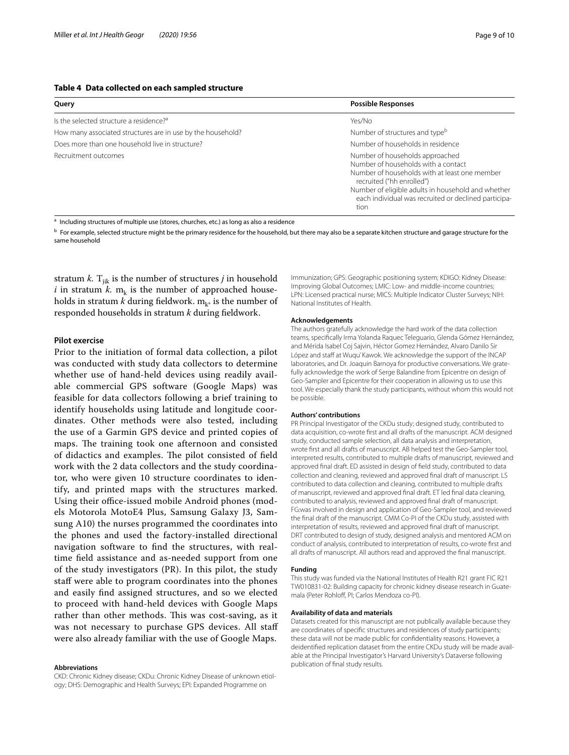#### <span id="page-8-0"></span>**Table 4 Data collected on each sampled structure**

| Query                                                       | <b>Possible Responses</b>                                                                                                                                                                                                                                                  |
|-------------------------------------------------------------|----------------------------------------------------------------------------------------------------------------------------------------------------------------------------------------------------------------------------------------------------------------------------|
| Is the selected structure a residence? <sup>a</sup>         | Yes/No                                                                                                                                                                                                                                                                     |
| How many associated structures are in use by the household? | Number of structures and type <sup>b</sup>                                                                                                                                                                                                                                 |
| Does more than one household live in structure?             | Number of households in residence                                                                                                                                                                                                                                          |
| Recruitment outcomes                                        | Number of households approached<br>Number of households with a contact<br>Number of households with at least one member<br>recruited ("hh enrolled")<br>Number of eligible adults in household and whether<br>each individual was recruited or declined participa-<br>tion |

<sup>a</sup> Including structures of multiple use (stores, churches, etc.) as long as also a residence

<sup>b</sup> For example, selected structure might be the primary residence for the household, but there may also be a separate kitchen structure and garage structure for the same household

stratum  $k$ .  $T_{ijk}$  is the number of structures *j* in household *i* in stratum *k*.  $m_k$  is the number of approached households in stratum *k* during fieldwork.  $m_{k*}$  is the number of responded households in stratum *k* during feldwork.

#### **Pilot exercise**

Prior to the initiation of formal data collection, a pilot was conducted with study data collectors to determine whether use of hand-held devices using readily available commercial GPS software (Google Maps) was feasible for data collectors following a brief training to identify households using latitude and longitude coordinates. Other methods were also tested, including the use of a Garmin GPS device and printed copies of maps. The training took one afternoon and consisted of didactics and examples. The pilot consisted of field work with the 2 data collectors and the study coordinator, who were given 10 structure coordinates to identify, and printed maps with the structures marked. Using their office-issued mobile Android phones (models Motorola MotoE4 Plus, Samsung Galaxy J3, Samsung A10) the nurses programmed the coordinates into the phones and used the factory-installed directional navigation software to fnd the structures, with realtime feld assistance and as-needed support from one of the study investigators (PR). In this pilot, the study staff were able to program coordinates into the phones and easily fnd assigned structures, and so we elected to proceed with hand-held devices with Google Maps rather than other methods. This was cost-saving, as it was not necessary to purchase GPS devices. All staf were also already familiar with the use of Google Maps.

#### **Abbreviations**

CKD: Chronic Kidney disease; CKDu: Chronic Kidney Disease of unknown etiology; DHS: Demographic and Health Surveys; EPI: Expanded Programme on

Immunization; GPS: Geographic positioning system; KDIGO: Kidney Disease: Improving Global Outcomes; LMIC: Low- and middle-income countries; LPN: Licensed practical nurse; MICS: Multiple Indicator Cluster Surveys; NIH: National Institutes of Health.

#### **Acknowledgements**

The authors gratefully acknowledge the hard work of the data collection teams, specifcally Irma Yolanda Raquec Teleguario, Glenda Gómez Hernández, and Mérida Isabel Coj Sajvin, Héctor Gomez Hernández, Alvaro Danilo Sir López and staff at Wuqu' Kawok. We acknowledge the support of the INCAP laboratories, and Dr. Joaquin Barnoya for productive conversations. We gratefully acknowledge the work of Serge Balandine from Epicentre on design of Geo-Sampler and Epicentre for their cooperation in allowing us to use this tool. We especially thank the study participants, without whom this would not be possible.

#### **Authors' contributions**

PR Principal Investigator of the CKDu study; designed study, contributed to data acquisition, co-wrote frst and all drafts of the manuscript. ACM designed study, conducted sample selection, all data analysis and interpretation, wrote frst and all drafts of manuscript. AB helped test the Geo-Sampler tool, interpreted results, contributed to multiple drafts of manuscript, reviewed and approved fnal draft. ED assisted in design of feld study, contributed to data collection and cleaning, reviewed and approved fnal draft of manuscript. LS contributed to data collection and cleaning, contributed to multiple drafts of manuscript, reviewed and approved fnal draft. ET led fnal data cleaning, contributed to analysis, reviewed and approved fnal draft of manuscript. FG:was involved in design and application of Geo-Sampler tool, and reviewed the fnal draft of the manuscript. CMM Co-PI of the CKDu study, assisted with interpretation of results, reviewed and approved fnal draft of manuscript. DRT contributed to design of study, designed analysis and mentored ACM on conduct of analysis, contributed to interpretation of results, co-wrote frst and all drafts of manuscript. All authors read and approved the fnal manuscript.

#### **Funding**

This study was funded via the National Institutes of Health R21 grant FIC R21 TW010831-02: Building capacity for chronic kidney disease research in Guatemala (Peter Rohlof, PI; Carlos Mendoza co-PI).

#### **Availability of data and materials**

Datasets created for this manuscript are not publically available because they are coordinates of specifc structures and residences of study participants; these data will not be made public for confdentiality reasons. However, a deidentifed replication dataset from the entire CKDu study will be made available at the Principal Investigator's Harvard University's Dataverse following publication of fnal study results.